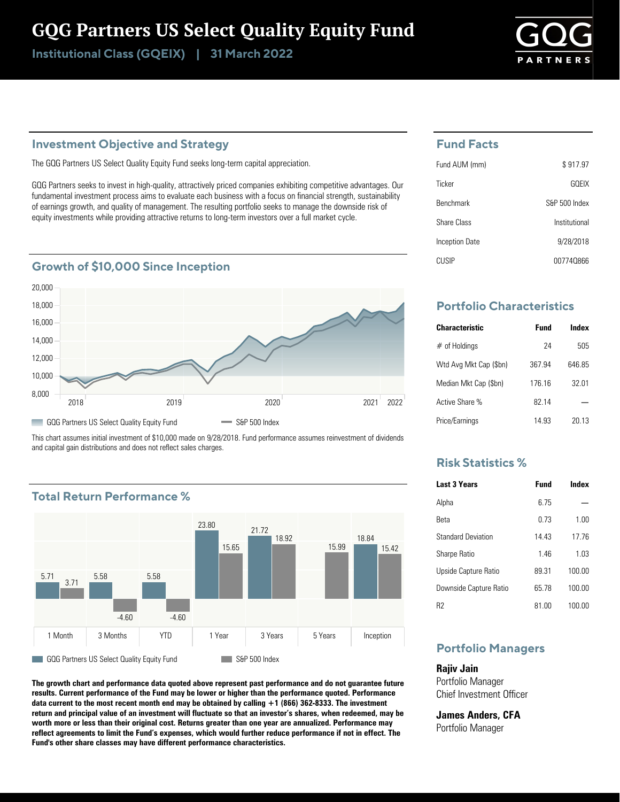# GQG Partners US Select Quality Equity Fund

Institutional Class (GQEIX) | 31 March 2022

#### **Investment Objective and Strategy**

The GQG Partners US Select Quality Equity Fund seeks long-term capital appreciation.

GQG Partners seeks to invest in high-quality, attractively priced companies exhibiting competitive advantages. Our fundamental investment process aims to evaluate each business with a focus on financial strength, sustainability of earnings growth, and quality of management. The resulting portfolio seeks to manage the downside risk of equity investments while providing attractive returns to long-term investors over a full market cycle.

#### **Growth of \$10,000 Since Inception**



This chart assumes initial investment of \$10,000 made on 9/28/2018. Fund performance assumes reinvestment of dividends and capital gain distributions and does not reflect sales charges.

### **Total Return Performance %**



**The growth chart and performance data quoted above represent past performance and do not guarantee future results. Current performance of the Fund may be lower or higher than the performance quoted. Performance data current to the most recent month end may be obtained by calling +1 (866) 362-8333. The investment return and principal value of an investment will fluctuate so that an investor's shares, when redeemed, may be worth more or less than their original cost. Returns greater than one year are annualized. Performance may reflect agreements to limit the Fund's expenses, which would further reduce performance if not in effect. The Fund's other share classes may have different performance characteristics.**

#### **Fund Facts**

| Fund AUM (mm)    | \$917.97      |
|------------------|---------------|
| Ticker           | GOFIX         |
| <b>Benchmark</b> | S&P 500 Index |
| Share Class      | Institutional |
| Inception Date   | 9/28/2018     |
| CUSIP            | 007740866     |

## **Portfolio Characteristics**

| <b>Characteristic</b>  | <b>Fund</b> | Index  |
|------------------------|-------------|--------|
| $#$ of Holdings        | 24          | 505    |
| Wtd Avg Mkt Cap (\$bn) | 367.94      | 646.85 |
| Median Mkt Cap (\$bn)  | 176 16      | 32 01  |
| Active Share %         | 82 14       |        |
| Price/Earnings         | 14 93       | 20 13  |

#### **Risk Statistics %**

| <b>Last 3 Years</b>       | <b>Fund</b> | Index  |
|---------------------------|-------------|--------|
| Alpha                     | 6 75        |        |
| Reta                      | 0.73        | 1.00   |
| <b>Standard Deviation</b> | 14 43       | 1776   |
| Sharpe Ratio              | 146         | 103    |
| Upside Capture Ratio      | 8931        | 100.00 |
| Downside Capture Ratio    | 65 78       | 100.00 |
| R2                        | 81.00       | 100.00 |

### **Portfolio Managers**

**Rajiv Jain** Portfolio Manager Chief Investment Officer

**James Anders, CFA** Portfolio Manager

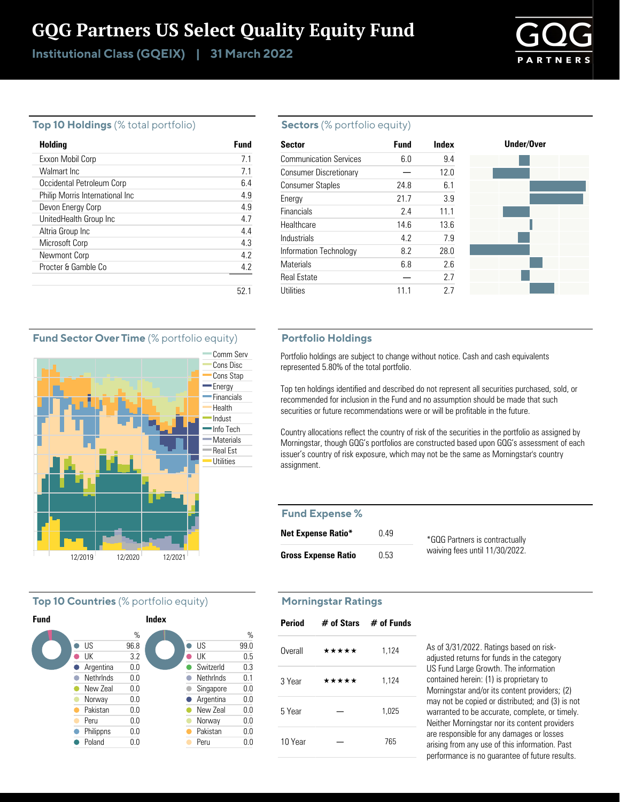# GQG Partners US Select Quality Equity Fund

Institutional Class (GQEIX) | 31 March 2022



#### **Top 10 Holdings** (% total portfolio)

| Holding                         | Fund |
|---------------------------------|------|
| Exxon Mobil Corp                | 71   |
| Walmart Inc                     | 7.1  |
| Occidental Petroleum Corp       | 6.4  |
| Philip Morris International Inc | 49   |
| Devon Energy Corp               | 4.9  |
| UnitedHealth Group Inc          | 47   |
| Altria Group Inc                | 4.4  |
| Microsoft Corp                  | 43   |
| Newmont Corp                    | 42   |
| Procter & Gamble Co.            | 4.2  |
|                                 |      |
|                                 | 52.  |

#### **Sectors** (% portfolio equity)

| <b>Sector</b>                 | <b>Fund</b> | Index | Under/Over |  |
|-------------------------------|-------------|-------|------------|--|
| <b>Communication Services</b> | 6.0         | 9.4   |            |  |
| <b>Consumer Discretionary</b> |             | 12.0  |            |  |
| <b>Consumer Staples</b>       | 24.8        | 6.1   |            |  |
| Energy                        | 21.7        | 3.9   |            |  |
| Financials                    | 2.4         | 11.1  |            |  |
| Healthcare                    | 14.6        | 13.6  |            |  |
| Industrials                   | 4.2         | 7.9   |            |  |
| Information Technology        | 8.2         | 28.0  |            |  |
| <b>Materials</b>              | 6.8         | 2.6   |            |  |
| <b>Real Estate</b>            |             | 2.7   |            |  |
| Utilities                     | 11          | 27    |            |  |

#### **Portfolio Holdings**

Portfolio holdings are subject to change without notice. Cash and cash equivalents represented 5.80% of the total portfolio.

Top ten holdings identified and described do not represent all securities purchased, sold, or recommended for inclusion in the Fund and no assumption should be made that such securities or future recommendations were or will be profitable in the future.

Country allocations reflect the country of risk of the securities in the portfolio as assigned by Morningstar, though GQG's portfolios are constructed based upon GQG's assessment of each issuer's country of risk exposure, which may not be the same as Morningstar's country assignment.

#### **Fund Expense %**

| <b>Net Expense Ratio*</b>  | 0.49 | *GQG Partners is contractually |
|----------------------------|------|--------------------------------|
| <b>Gross Expense Ratio</b> | 0.53 | waiving fees until 11/30/2022. |

# **Morningstar Ratings**

| <b>Period</b> |       | $#$ of Stars $#$ of Funds |
|---------------|-------|---------------------------|
| Overall       | ***** | 1,124                     |
| 3 Year        | ***** | 1,124                     |
| 5 Year        |       | 1,025                     |
| 10 Year       |       | 765                       |

As of 3/31/2022. Ratings based on riskadjusted returns for funds in the category US Fund Large Growth. The information contained herein: (1) is proprietary to Morningstar and/or its content providers; (2) may not be copied or distributed; and (3) is not warranted to be accurate, complete, or timely. Neither Morningstar nor its content providers are responsible for any damages or losses arising from any use of this information. Past performance is no guarantee of future results.

#### **Fund Sector Over Time** (% portfolio equity)



#### **Top 10 Countries** (% portfolio equity)